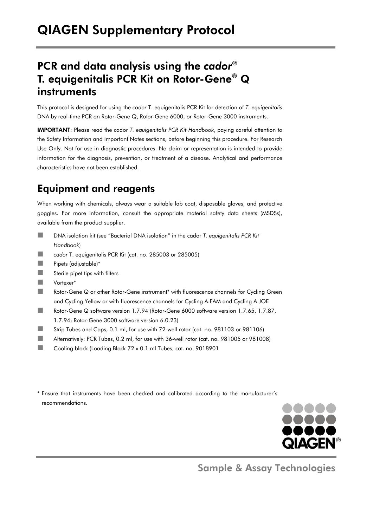# PCR and data analysis using the *cador*® T. equigenitalis PCR Kit on Rotor-Gene® Q instruments

This protocol is designed for using the *cador* T. equigenitalis PCR Kit for detection of *T. equigenitalis* DNA by real-time PCR on Rotor-Gene Q, Rotor-Gene 6000, or Rotor-Gene 3000 instruments.

IMPORTANT: Please read the cador *T. equigenitalis PCR Kit Handbook*, paying careful attention to the Safety Information and Important Notes sections, before beginning this procedure. For Research Use Only. Not for use in diagnostic procedures. No claim or representation is intended to provide information for the diagnosis, prevention, or treatment of a disease. Analytical and performance characteristics have not been established.

# Equipment and reagents

When working with chemicals, always wear a suitable lab coat, disposable gloves, and protective goggles. For more information, consult the appropriate material safety data sheets (MSDSs), available from the product supplier.

- ■■ DNA isolation kit (see "Bacterial DNA isolation" in the cador *T. equigenitalis PCR Kit Handbook*)
- **Follow** cador T. equigenitalis PCR Kit (cat. no. 285003 or 285005)
- **Now Pipets (adjustable)\***
- $\blacksquare$  Sterile pipet tips with filters
- Vortexer\*
- Rotor-Gene Q or other Rotor-Gene instrument\* with fluorescence channels for Cycling Green and Cycling Yellow or with fluorescence channels for Cycling A.FAM and Cycling A.JOE
- Rotor-Gene Q software version 1.7.94 (Rotor-Gene 6000 software version 1.7.65, 1.7.87, 1.7.94; Rotor-Gene 3000 software version 6.0.23)
- Strip Tubes and Caps, 0.1 ml, for use with 72-well rotor (cat. no. 981103 or 981106)
- Alternatively: PCR Tubes, 0.2 ml, for use with 36-well rotor (cat. no. 981005 or 981008)
- Cooling block (Loading Block 72 x 0.1 ml Tubes, cat. no. 9018901
- \* Ensure that instruments have been checked and calibrated according to the manufacturer's recommendations.



Sample & Assay Technologies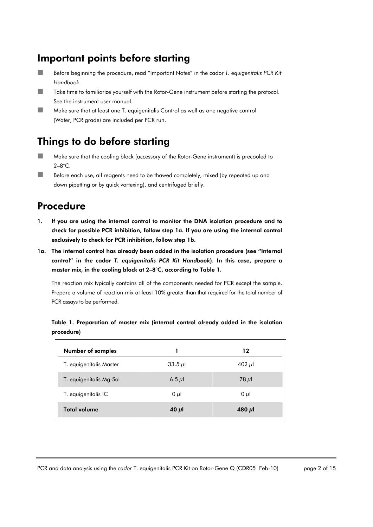# Important points before starting

- Before beginning the procedure, read "Important Notes" in the cador *T. equigenitalis PCR Kit Handbook*.
- Take time to familiarize yourself with the Rotor-Gene instrument before starting the protocol. See the instrument user manual.
- **Make sure that at least one T. equigenitalis Control as well as one negative control** (Water, PCR grade) are included per PCR run.

# Things to do before starting

- Make sure that the cooling block (accessory of the Rotor-Gene instrument) is precooled to 2–8°C.
- Before each use, all reagents need to be thawed completely, mixed (by repeated up and down pipetting or by quick vortexing), and centrifuged briefly.

## Procedure

- 1. If you are using the internal control to monitor the DNA isolation procedure and to check for possible PCR inhibition, follow step 1a. If you are using the internal control exclusively to check for PCR inhibition, follow step 1b.
- 1a. The internal control has already been added in the isolation procedure (see "Internal control" in the cador *T. equigenitalis PCR Kit Handbook*). In this case, prepare a master mix, in the cooling block at 2–8°C, according to Table 1.

The reaction mix typically contains all of the components needed for PCR except the sample. Prepare a volume of reaction mix at least 10% greater than that required for the total number of PCR assays to be performed.

Table 1. Preparation of master mix (internal control already added in the isolation procedure)

| <b>Number of samples</b> |            | 12          |
|--------------------------|------------|-------------|
| T. equigenitalis Master  | 33.5 $\mu$ | 402 $\mu$ l |
| T. equigenitalis Mg-Sol  | $6.5 \mu$  | $78 \mu$    |
| T. equigenitalis IC      | $0 \mu$    | $0 \mu$     |
| <b>Total volume</b>      | 40 $\mu$   | 480 $\mu$   |

PCR and data analysis using the *cador* T. equigenitalis PCR Kit on Rotor-Gene Q (CDR05 Feb-10) page 2 of 15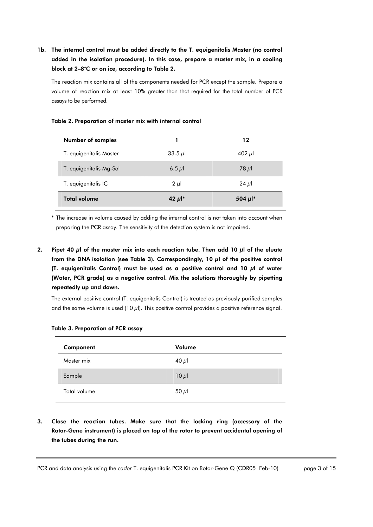1b. The internal control must be added directly to the T. equigenitalis Master (no control added in the isolation procedure). In this case, prepare a master mix, in a cooling block at 2–8°C or on ice, according to Table 2.

The reaction mix contains all of the components needed for PCR except the sample. Prepare a volume of reaction mix at least 10% greater than that required for the total number of PCR assays to be performed.

| <b>Number of samples</b> |                       | 12                     |
|--------------------------|-----------------------|------------------------|
| T. equigenitalis Master  | 33.5 $\mu$            | 402 $\mu$ l            |
| T. equigenitalis Mg-Sol  | $6.5 \mu$             | $78 \mu$               |
| T. equigenitalis IC      | $2 \mu$               | 24 $\mu$               |
| <b>Total volume</b>      | 42 $\mu$ <sup>*</sup> | 504 $\mu$ <sup>*</sup> |

#### Table 2. Preparation of master mix with internal control

\* The increase in volume caused by adding the internal control is not taken into account when preparing the PCR assay. The sensitivity of the detection system is not impaired.

2. Pipet 40  $\mu$ l of the master mix into each reaction tube. Then add 10  $\mu$ l of the eluate from the DNA isolation (see Table 3). Correspondingly, 10 μl of the positive control (T. equigenitalis Control) must be used as a positive control and 10 μl of water (Water, PCR grade) as a negative control. Mix the solutions thoroughly by pipetting repeatedly up and down.

The external positive control (T. equigenitalis Control) is treated as previously purified samples and the same volume is used (10 μl). This positive control provides a positive reference signal.

| Component    | Volume     |
|--------------|------------|
| Master mix   | 40 $\mu$ l |
| Sample       | $10 \mu$   |
| Total volume | 50 $\mu$ l |

|  | Table 3. Preparation of PCR assay |  |  |  |
|--|-----------------------------------|--|--|--|
|--|-----------------------------------|--|--|--|

3. Close the reaction tubes. Make sure that the locking ring (accessory of the Rotor-Gene instrument) is placed on top of the rotor to prevent accidental opening of the tubes during the run.

PCR and data analysis using the *cador* T. equigenitalis PCR Kit on Rotor-Gene Q (CDR05 Feb-10) page 3 of 15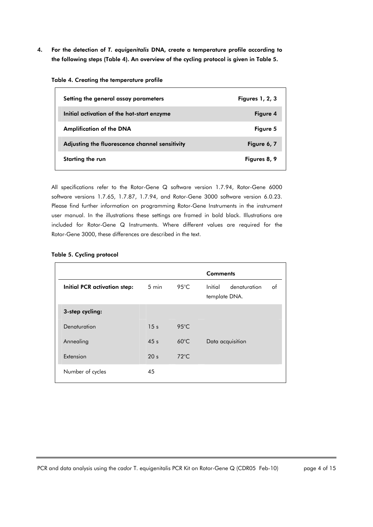4. For the detection of *T. equigenitalis* DNA, create a temperature profile according to the following steps (Table 4). An overview of the cycling protocol is given in Table 5.

| Setting the general assay parameters           | <b>Figures 1, 2, 3</b> |
|------------------------------------------------|------------------------|
| Initial activation of the hot-start enzyme     | Figure 4               |
| <b>Amplification of the DNA</b>                | Figure 5               |
| Adjusting the fluorescence channel sensitivity | Figure 6, 7            |
| Starting the run                               | Figures 8, 9           |

All specifications refer to the Rotor-Gene Q software version 1.7.94, Rotor-Gene 6000 software versions 1.7.65, 1.7.87, 1.7.94, and Rotor-Gene 3000 software version 6.0.23. Please find further information on programming Rotor-Gene Instruments in the instrument user manual. In the illustrations these settings are framed in bold black. Illustrations are included for Rotor-Gene Q Instruments. Where different values are required for the Rotor-Gene 3000, these differences are described in the text.

|  |  |  | Table 5. Cycling protocol |
|--|--|--|---------------------------|
|--|--|--|---------------------------|

|                                     | <b>Comments</b> |                |                                                |  |  |  |  |
|-------------------------------------|-----------------|----------------|------------------------------------------------|--|--|--|--|
| <b>Initial PCR activation step:</b> | 5 min           | 95 $°C$        | Initial<br>denaturation<br>of<br>template DNA. |  |  |  |  |
| 3-step cycling:                     |                 |                |                                                |  |  |  |  |
| Denaturation                        | 15 <sub>s</sub> | $95^{\circ}$ C |                                                |  |  |  |  |
| Annealing                           | 45s             | $60^{\circ}$ C | Data acquisition                               |  |  |  |  |
| Extension                           | 20 <sub>s</sub> | $72^{\circ}$ C |                                                |  |  |  |  |
| Number of cycles                    | 45              |                |                                                |  |  |  |  |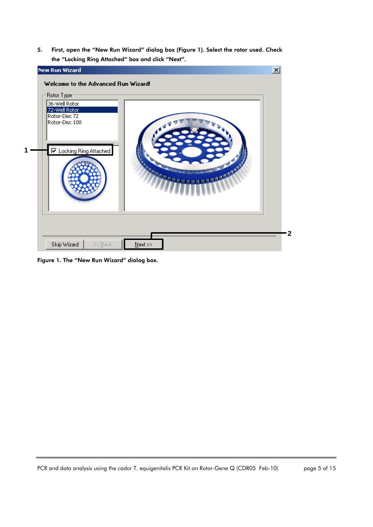5. First, open the "New Run Wizard" dialog box (Figure 1). Select the rotor used. Check the "Locking Ring Attached" box and click "Next".



Figure 1. The "New Run Wizard" dialog box.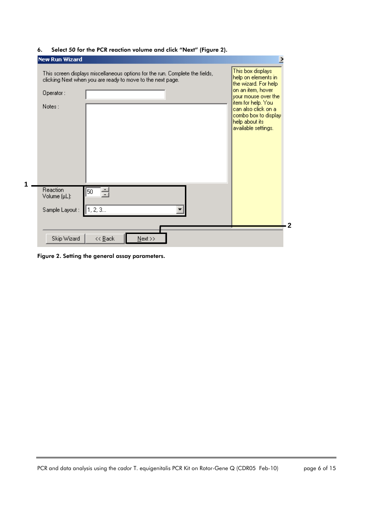| New Run Wizard                             | This screen displays miscellaneous options for the run. Complete the fields,<br>clicking Next when you are ready to move to the next page. | This box displays<br>help on elements in<br>the wizard. For help                                                                                        |
|--------------------------------------------|--------------------------------------------------------------------------------------------------------------------------------------------|---------------------------------------------------------------------------------------------------------------------------------------------------------|
| Operator:<br>Notes:                        |                                                                                                                                            | on an item, hover<br>vour mouse over the<br>item for help. You<br>can also click on al<br>combo box to display<br>help about its<br>available settings. |
| Reaction<br>Volume (µL):<br>Sample Layout: | 50<br>1, 2, 3                                                                                                                              |                                                                                                                                                         |
| Skip Wizard                                | $N$ ext >><br><< <u>B</u> ack                                                                                                              |                                                                                                                                                         |

6. Select *50* for the PCR reaction volume and click "Next" (Figure 2).

Figure 2. Setting the general assay parameters.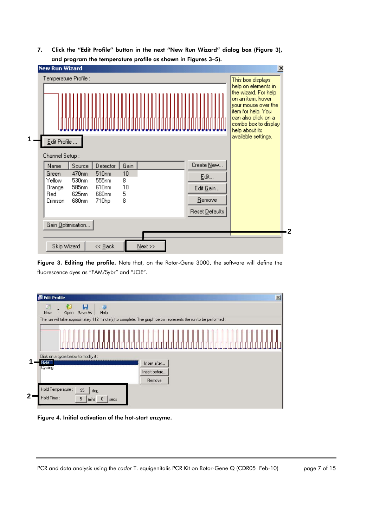7. Click the "Edit Profile" button in the next "New Run Wizard" dialog box (Figure 3), and program the temperature profile as shown in Figures 3–5).



Figure 3. Editing the profile. Note that, on the Rotor-Gene 3000, the software will define the fluorescence dyes as "FAM/Sybr" and "JOE".

| <b>Edit Profile</b>             |                                                                                                                 |                                        |               |  |  |  |  |  |  | $\vert x \vert$ |
|---------------------------------|-----------------------------------------------------------------------------------------------------------------|----------------------------------------|---------------|--|--|--|--|--|--|-----------------|
| Ø.<br>New                       | Ы<br>Save As<br>Open                                                                                            | ø<br>Help                              |               |  |  |  |  |  |  |                 |
|                                 | The run will take approximately 112 minute(s) to complete. The graph below represents the run to be performed : |                                        |               |  |  |  |  |  |  |                 |
|                                 |                                                                                                                 |                                        |               |  |  |  |  |  |  |                 |
|                                 | Click on a cycle below to modify it:                                                                            |                                        |               |  |  |  |  |  |  |                 |
| Hold<br><b>Cycling</b>          |                                                                                                                 |                                        | Insert after  |  |  |  |  |  |  |                 |
|                                 |                                                                                                                 |                                        | Insert before |  |  |  |  |  |  |                 |
|                                 |                                                                                                                 |                                        | Remove        |  |  |  |  |  |  |                 |
| Hold Temperature:<br>Hold Time: | 95<br>5                                                                                                         | deg.<br>$\overline{0}$<br>mins<br>secs |               |  |  |  |  |  |  |                 |

Figure 4. Initial activation of the hot-start enzyme.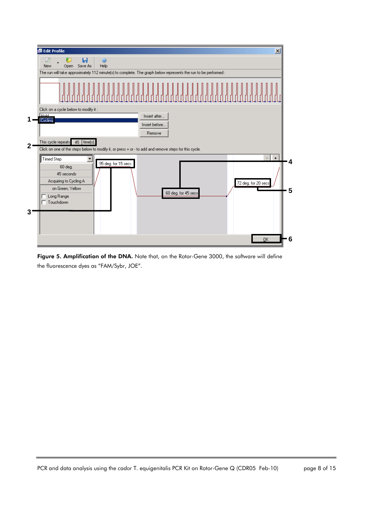

Figure 5. Amplification of the DNA. Note that, on the Rotor-Gene 3000, the software will define the fluorescence dyes as "FAM/Sybr, JOE".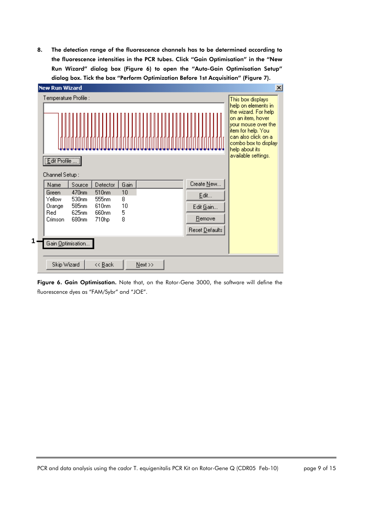8. The detection range of the fluorescence channels has to be determined according to the fluorescence intensities in the PCR tubes. Click "Gain Optimisation" in the "New Run Wizard" dialog box (Figure 6) to open the "Auto-Gain Optimisation Setup" dialog box. Tick the box "Perform Optimization Before 1st Acquisition" (Figure 7).



Figure 6. Gain Optimisation. Note that, on the Rotor-Gene 3000, the software will define the fluorescence dyes as "FAM/Sybr" and "JOE".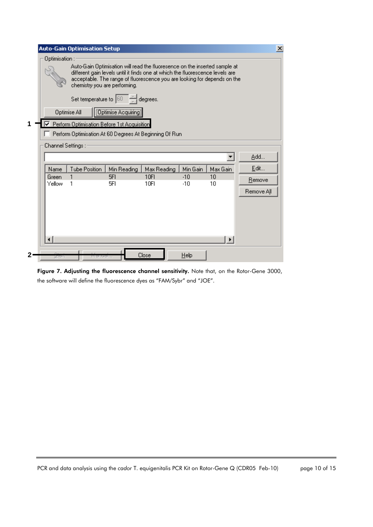|                    | <b>Auto-Gain Optimisation Setup</b>                                      |                      |                                                                                                                                                                                                                                         |                |          | $\overline{\mathbf{x}}$ |
|--------------------|--------------------------------------------------------------------------|----------------------|-----------------------------------------------------------------------------------------------------------------------------------------------------------------------------------------------------------------------------------------|----------------|----------|-------------------------|
| Optimisation :     | chemistry you are performing.                                            |                      | Auto-Gain Optimisation will read the fluoresence on the inserted sample at<br>different gain levels until it finds one at which the fluorescence levels are<br>acceptable. The range of fluorescence you are looking for depends on the |                |          |                         |
| Optimise All       | Set temperature to $ 60 $<br>Perform Optimisation Before 1st Acquisition | [Optimise Acquiring] | degrees.                                                                                                                                                                                                                                |                |          |                         |
|                    | Perform Optimisation At 60 Degrees At Beginning Of Run                   |                      |                                                                                                                                                                                                                                         |                |          |                         |
| Channel Settings : |                                                                          |                      |                                                                                                                                                                                                                                         |                |          |                         |
|                    |                                                                          |                      |                                                                                                                                                                                                                                         |                |          | Add                     |
| Name               | <b>Tube Position</b>                                                     | Min Reading          | Max Reading                                                                                                                                                                                                                             | Min Gain       | Max Gain | Edit                    |
| Green<br>Yellow    | 1                                                                        | 5FI<br>5FI           | 10FI<br>10FI                                                                                                                                                                                                                            | $-10$<br>$-10$ | 10<br>10 | Remove                  |
|                    |                                                                          |                      |                                                                                                                                                                                                                                         |                |          | Remove All              |
|                    |                                                                          |                      |                                                                                                                                                                                                                                         |                | ¥        |                         |
| utan               |                                                                          |                      | Close                                                                                                                                                                                                                                   | $He$ lp        |          |                         |

Figure 7. Adjusting the fluorescence channel sensitivity. Note that, on the Rotor-Gene 3000, the software will define the fluorescence dyes as "FAM/Sybr" and "JOE".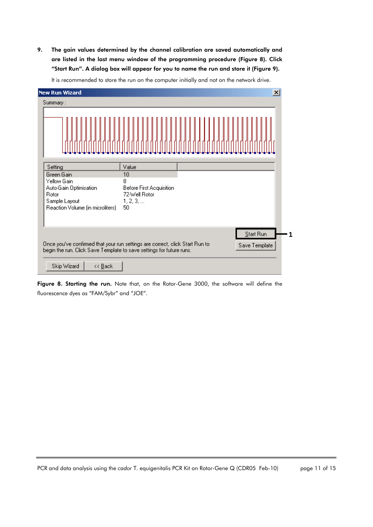9. The gain values determined by the channel calibration are saved automatically and are listed in the last menu window of the programming procedure (Figure 8). Click "Start Run". A dialog box will appear for you to name the run and store it (Figure 9).

| New Run Wizard                                                       | $\vert x \vert$                                                                               |  |
|----------------------------------------------------------------------|-----------------------------------------------------------------------------------------------|--|
| Summary:                                                             |                                                                                               |  |
|                                                                      |                                                                                               |  |
| Setting                                                              | Value                                                                                         |  |
| Green Gain                                                           | 10                                                                                            |  |
| Yellow Gain                                                          | 8                                                                                             |  |
| Auto-Gain Optimisation<br>Rotor                                      | Before First Acquisition<br>72-Well Rotor                                                     |  |
| Sample Layout                                                        | 1, 2, 3,                                                                                      |  |
| Reaction Volume (in microliters)                                     | 50                                                                                            |  |
|                                                                      |                                                                                               |  |
|                                                                      | Start Run                                                                                     |  |
| begin the run. Click Save Template to save settings for future runs. | Once you've confirmed that your run settings are correct, click Start Run to<br>Save Template |  |
| Skip Wizard<br><< <u>B</u> ack                                       |                                                                                               |  |

It is recommended to store the run on the computer initially and not on the network drive.

Figure 8. Starting the run. Note that, on the Rotor-Gene 3000, the software will define the fluorescence dyes as "FAM/Sybr" and "JOE".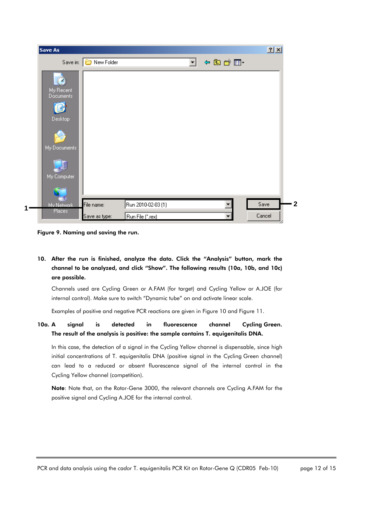| Save As                |                              |                    |    |           | 2x     |  |
|------------------------|------------------------------|--------------------|----|-----------|--------|--|
|                        | Save in: <b>D</b> New Folder |                    | ▾╎ | ← 国 合 国 → |        |  |
|                        |                              |                    |    |           |        |  |
| My Recent<br>Documents |                              |                    |    |           |        |  |
|                        |                              |                    |    |           |        |  |
| Desktop                |                              |                    |    |           |        |  |
|                        |                              |                    |    |           |        |  |
| My Documents           |                              |                    |    |           |        |  |
|                        |                              |                    |    |           |        |  |
|                        |                              |                    |    |           |        |  |
| My Computer            |                              |                    |    |           |        |  |
|                        |                              |                    |    |           |        |  |
| Mu Network             | File name:                   | Run 2010-02-03 (1) |    |           | Save   |  |
| Places                 | Save as type:                | Run File (*.rex)   |    |           | Cancel |  |

Figure 9. Naming and saving the run.

10. After the run is finished, analyze the data. Click the "Analysis" button, mark the channel to be analyzed, and click "Show". The following results (10a, 10b, and 10c) are possible.

Channels used are Cycling Green or A.FAM (for target) and Cycling Yellow or A.JOE (for internal control). Make sure to switch "Dynamic tube" on and activate linear scale.

Examples of positive and negative PCR reactions are given in Figure 10 and Figure 11.

#### 10a. A signal is detected in fluorescence channel Cycling Green. The result of the analysis is positive: the sample contains T. equigenitalis DNA.

In this case, the detection of a signal in the Cycling Yellow channel is dispensable, since high initial concentrations of T. equigenitalis DNA (positive signal in the Cycling Green channel) can lead to a reduced or absent fluorescence signal of the internal control in the Cycling Yellow channel (competition).

Note: Note that, on the Rotor-Gene 3000, the relevant channels are Cycling A.FAM for the positive signal and Cycling A.JOE for the internal control.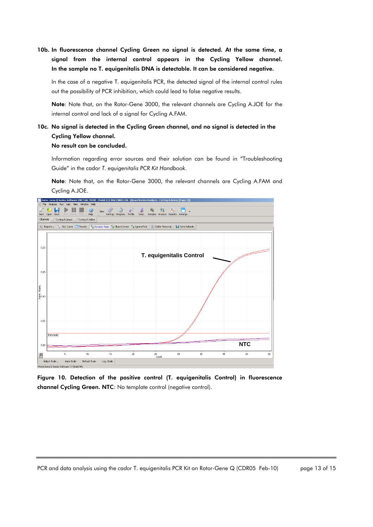10b. In fluorescence channel Cycling Green no signal is detected. At the same time, a signal from the internal control appears in the Cycling Yellow channel. In the sample no T. equigenitalis DNA is detectable. It can be considered negative.

In the case of a negative T. equigenitalis PCR, the detected signal of the internal control rules out the possibility of PCR inhibition, which could lead to false negative results.

Note: Note that, on the Rotor-Gene 3000, the relevant channels are Cycling A.JOE for the internal control and lack of a signal for Cycling A.FAM.

### 10c. No signal is detected in the Cycling Green channel, and no signal is detected in the Cycling Yellow channel.

No result can be concluded.

Information regarding error sources and their solution can be found in "Troubleshooting Guide" in the cador *T. equigenitalis PCR Kit Handbook*.

Note: Note that, on the Rotor-Gene 3000, the relevant channels are Cycling A.FAM and Cycling A.JOE.



Figure 10. Detection of the positive control (T. equigenitalis Control) in fluorescence channel Cycling Green. NTC: No template control (negative control).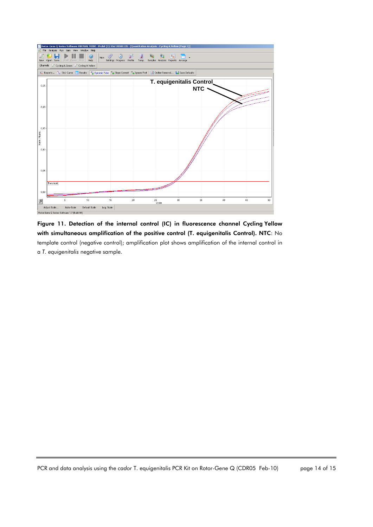

Figure 11. Detection of the internal control (IC) in fluorescence channel Cycling Yellow with simultaneous amplification of the positive control (T. equigenitalis Control). NTC: No template control (negative control); amplification plot shows amplification of the internal control in a *T. equigenitalis* negative sample.